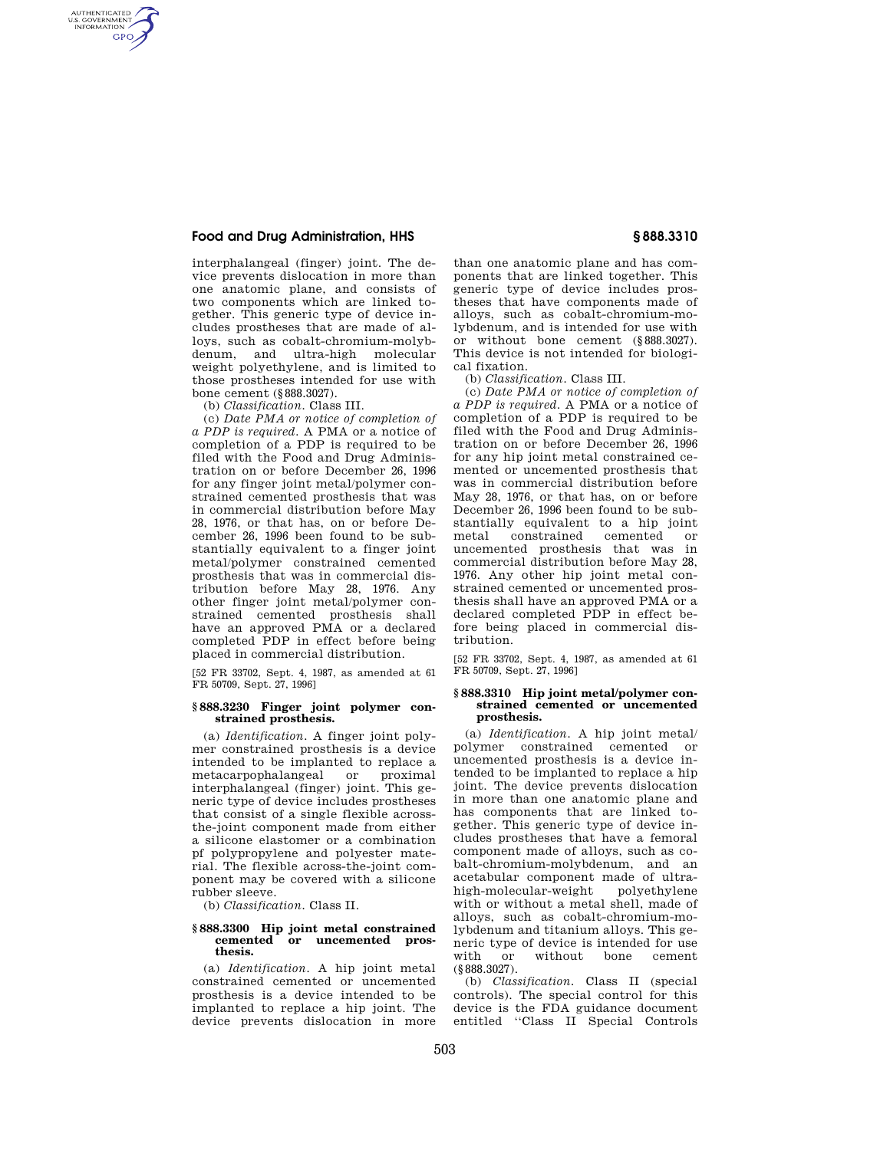## **Food and Drug Administration, HHS § 888.3310**

AUTHENTICATED<br>U.S. GOVERNMENT<br>INFORMATION **GPO** 

> interphalangeal (finger) joint. The device prevents dislocation in more than one anatomic plane, and consists of two components which are linked together. This generic type of device includes prostheses that are made of alloys, such as cobalt-chromium-molybdenum, and ultra-high molecular weight polyethylene, and is limited to those prostheses intended for use with bone cement (§888.3027).

(b) *Classification.* Class III.

(c) *Date PMA or notice of completion of a PDP is required.* A PMA or a notice of completion of a PDP is required to be filed with the Food and Drug Administration on or before December 26, 1996 for any finger joint metal/polymer constrained cemented prosthesis that was in commercial distribution before May 28, 1976, or that has, on or before December 26, 1996 been found to be substantially equivalent to a finger joint metal/polymer constrained cemented prosthesis that was in commercial distribution before May 28, 1976. Any other finger joint metal/polymer constrained cemented prosthesis shall have an approved PMA or a declared completed PDP in effect before being placed in commercial distribution.

[52 FR 33702, Sept. 4, 1987, as amended at 61 FR 50709, Sept. 27, 1996]

## **§ 888.3230 Finger joint polymer constrained prosthesis.**

(a) *Identification.* A finger joint polymer constrained prosthesis is a device intended to be implanted to replace a metacarpophalangeal interphalangeal (finger) joint. This generic type of device includes prostheses that consist of a single flexible acrossthe-joint component made from either a silicone elastomer or a combination pf polypropylene and polyester material. The flexible across-the-joint component may be covered with a silicone rubber sleeve.

(b) *Classification.* Class II.

#### **§ 888.3300 Hip joint metal constrained cemented or uncemented prosthesis.**

(a) *Identification.* A hip joint metal constrained cemented or uncemented prosthesis is a device intended to be implanted to replace a hip joint. The device prevents dislocation in more

than one anatomic plane and has components that are linked together. This generic type of device includes prostheses that have components made of alloys, such as cobalt-chromium-molybdenum, and is intended for use with or without bone cement (§888.3027). This device is not intended for biological fixation.

(b) *Classification.* Class III.

(c) *Date PMA or notice of completion of a PDP is required.* A PMA or a notice of completion of a PDP is required to be filed with the Food and Drug Administration on or before December 26, 1996 for any hip joint metal constrained cemented or uncemented prosthesis that was in commercial distribution before May 28, 1976, or that has, on or before December 26, 1996 been found to be substantially equivalent to a hip joint metal constrained cemented or uncemented prosthesis that was in commercial distribution before May 28, 1976. Any other hip joint metal constrained cemented or uncemented prosthesis shall have an approved PMA or a declared completed PDP in effect before being placed in commercial distribution.

[52 FR 33702, Sept. 4, 1987, as amended at 61 FR 50709, Sept. 27, 1996]

## **§ 888.3310 Hip joint metal/polymer constrained cemented or uncemented prosthesis.**

(a) *Identification.* A hip joint metal/ polymer constrained cemented or uncemented prosthesis is a device intended to be implanted to replace a hip joint. The device prevents dislocation in more than one anatomic plane and has components that are linked together. This generic type of device includes prostheses that have a femoral component made of alloys, such as cobalt-chromium-molybdenum, and an acetabular component made of ultrahigh-molecular-weight polyethylene with or without a metal shell, made of alloys, such as cobalt-chromium-molybdenum and titanium alloys. This generic type of device is intended for use with or without bone cement (§888.3027).

(b) *Classification.* Class II (special controls). The special control for this device is the FDA guidance document entitled ''Class II Special Controls